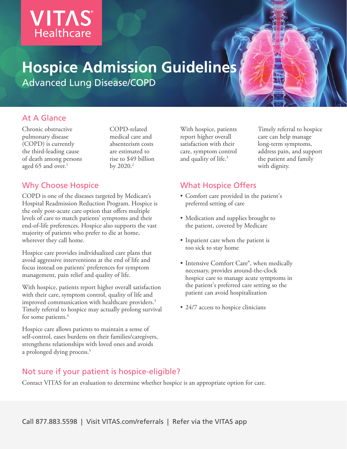# **VITAS® Healthcare**

## **Hospice Admission Guidelines** Advanced Lung Disease/COPD

At A Glance

Chronic obstructive pulmonary disease (COPD) is currently the third-leading cause of death among persons aged 65 and over. $1$ 

COPD-related medical care and absenteeism costs are estimated to rise to \$49 billion by  $2020.<sup>2</sup>$ 

### Why Choose Hospice

COPD is one of the diseases targeted by Medicare's Hospital Readmission Reduction Program. Hospice is the only post-acute care option that offers multiple levels of care to match patients' symptoms and their end-of-life preferences. Hospice also supports the vast majority of patients who prefer to die at home, wherever they call home.

Hospice care provides individualized care plans that avoid aggressive interventions at the end of life and focus instead on patients' preferences for symptom management, pain relief and quality of life.

With hospice, patients report higher overall satisfaction with their care, symptom control, quality of life and improved communication with healthcare providers.<sup>3</sup> Timely referral to hospice may actually prolong survival for some patients.<sup>4</sup>

Hospice care allows patients to maintain a sense of self-control, eases burdens on their families/caregivers, strengthens relationships with loved ones and avoids a prolonged dying process.<sup>5</sup>

With hospice, patients report higher overall satisfaction with their care, symptom control and quality of life.<sup>3</sup>

Timely referral to hospice care can help manage long-term symptoms, address pain, and support the patient and family with dignity.

### What Hospice Offers

- Comfort care provided in the patient's preferred setting of care
- Medication and supplies brought to the patient, covered by Medicare
- Inpatient care when the patient is too sick to stay home
- Intensive Comfort Care®, when medically necessary, provides around-the-clock hospice care to manage acute symptoms in the patient's preferred care setting so the patient can avoid hospitalization
- 24/7 access to hospice clinicians

### Not sure if your patient is hospice-eligible?

Contact VITAS for an evaluation to determine whether hospice is an appropriate option for care.